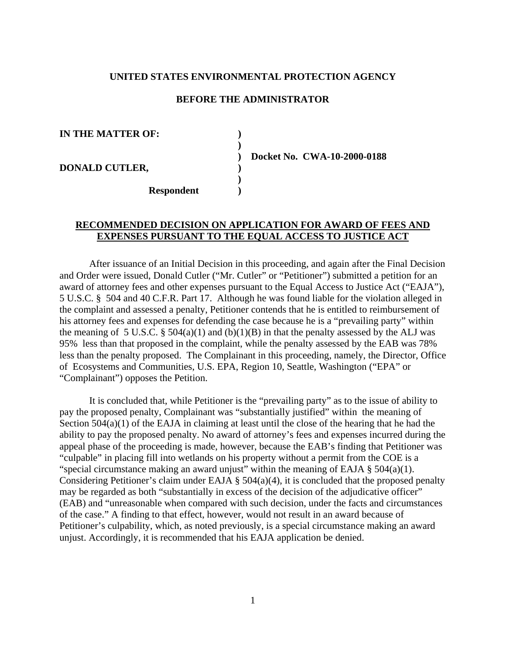### **UNITED STATES ENVIRONMENTAL PROTECTION AGENCY**

### **BEFORE THE ADMINISTRATOR**

**IN THE MATTER OF: )** 

**DONALD CUTLER, )** 

 **Respondent )** 

 **)** 

 **)** 

 **) Docket No. CWA-10-2000-0188** 

# **RECOMMENDED DECISION ON APPLICATION FOR AWARD OF FEES AND EXPENSES PURSUANT TO THE EQUAL ACCESS TO JUSTICE ACT**

 After issuance of an Initial Decision in this proceeding, and again after the Final Decision and Order were issued, Donald Cutler ("Mr. Cutler" or "Petitioner") submitted a petition for an award of attorney fees and other expenses pursuant to the Equal Access to Justice Act ("EAJA"), 5 U.S.C. § 504 and 40 C.F.R. Part 17. Although he was found liable for the violation alleged in the complaint and assessed a penalty, Petitioner contends that he is entitled to reimbursement of his attorney fees and expenses for defending the case because he is a "prevailing party" within the meaning of 5 U.S.C.  $\S$  504(a)(1) and (b)(1)(B) in that the penalty assessed by the ALJ was 95% less than that proposed in the complaint, while the penalty assessed by the EAB was 78% less than the penalty proposed. The Complainant in this proceeding, namely, the Director, Office of Ecosystems and Communities, U.S. EPA, Region 10, Seattle, Washington ("EPA" or "Complainant") opposes the Petition.

 It is concluded that, while Petitioner is the "prevailing party" as to the issue of ability to pay the proposed penalty, Complainant was "substantially justified" within the meaning of Section 504(a)(1) of the EAJA in claiming at least until the close of the hearing that he had the ability to pay the proposed penalty. No award of attorney's fees and expenses incurred during the appeal phase of the proceeding is made, however, because the EAB's finding that Petitioner was "culpable" in placing fill into wetlands on his property without a permit from the COE is a "special circumstance making an award unjust" within the meaning of EAJA  $\S$  504(a)(1). Considering Petitioner's claim under EAJA § 504(a)(4), it is concluded that the proposed penalty may be regarded as both "substantially in excess of the decision of the adjudicative officer" (EAB) and "unreasonable when compared with such decision, under the facts and circumstances of the case." A finding to that effect, however, would not result in an award because of Petitioner's culpability, which, as noted previously, is a special circumstance making an award unjust. Accordingly, it is recommended that his EAJA application be denied.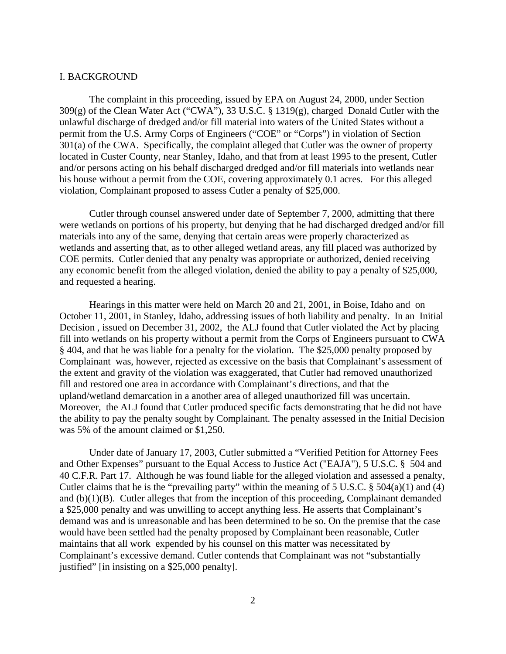## I. BACKGROUND

 The complaint in this proceeding, issued by EPA on August 24, 2000, under Section 309(g) of the Clean Water Act ("CWA"), 33 U.S.C. § 1319(g), charged Donald Cutler with the unlawful discharge of dredged and/or fill material into waters of the United States without a permit from the U.S. Army Corps of Engineers ("COE" or "Corps") in violation of Section 301(a) of the CWA. Specifically, the complaint alleged that Cutler was the owner of property located in Custer County, near Stanley, Idaho, and that from at least 1995 to the present, Cutler and/or persons acting on his behalf discharged dredged and/or fill materials into wetlands near his house without a permit from the COE, covering approximately 0.1 acres. For this alleged violation, Complainant proposed to assess Cutler a penalty of \$25,000.

 Cutler through counsel answered under date of September 7, 2000, admitting that there were wetlands on portions of his property, but denying that he had discharged dredged and/or fill materials into any of the same, denying that certain areas were properly characterized as wetlands and asserting that, as to other alleged wetland areas, any fill placed was authorized by COE permits. Cutler denied that any penalty was appropriate or authorized, denied receiving any economic benefit from the alleged violation, denied the ability to pay a penalty of \$25,000, and requested a hearing.

 Hearings in this matter were held on March 20 and 21, 2001, in Boise, Idaho and on October 11, 2001, in Stanley, Idaho, addressing issues of both liability and penalty. In an Initial Decision , issued on December 31, 2002, the ALJ found that Cutler violated the Act by placing fill into wetlands on his property without a permit from the Corps of Engineers pursuant to CWA § 404, and that he was liable for a penalty for the violation. The \$25,000 penalty proposed by Complainant was, however, rejected as excessive on the basis that Complainant's assessment of the extent and gravity of the violation was exaggerated, that Cutler had removed unauthorized fill and restored one area in accordance with Complainant's directions, and that the upland/wetland demarcation in a another area of alleged unauthorized fill was uncertain. Moreover, the ALJ found that Cutler produced specific facts demonstrating that he did not have the ability to pay the penalty sought by Complainant. The penalty assessed in the Initial Decision was 5% of the amount claimed or \$1,250.

 Under date of January 17, 2003, Cutler submitted a "Verified Petition for Attorney Fees and Other Expenses" pursuant to the Equal Access to Justice Act ("EAJA"), 5 U.S.C. § 504 and 40 C.F.R. Part 17. Although he was found liable for the alleged violation and assessed a penalty, Cutler claims that he is the "prevailing party" within the meaning of 5 U.S.C.  $\S$  504(a)(1) and (4) and (b)(1)(B). Cutler alleges that from the inception of this proceeding, Complainant demanded a \$25,000 penalty and was unwilling to accept anything less. He asserts that Complainant's demand was and is unreasonable and has been determined to be so. On the premise that the case would have been settled had the penalty proposed by Complainant been reasonable, Cutler maintains that all work expended by his counsel on this matter was necessitated by Complainant's excessive demand. Cutler contends that Complainant was not "substantially justified" [in insisting on a \$25,000 penalty].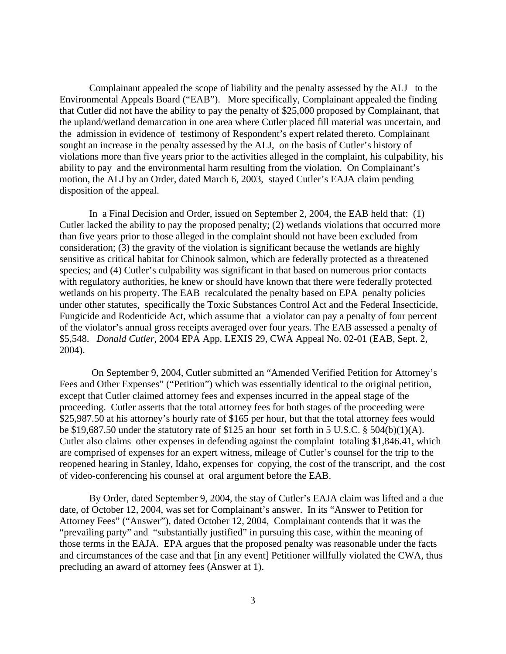Complainant appealed the scope of liability and the penalty assessed by the ALJ to the Environmental Appeals Board ("EAB"). More specifically, Complainant appealed the finding that Cutler did not have the ability to pay the penalty of \$25,000 proposed by Complainant, that the upland/wetland demarcation in one area where Cutler placed fill material was uncertain, and the admission in evidence of testimony of Respondent's expert related thereto. Complainant sought an increase in the penalty assessed by the ALJ, on the basis of Cutler's history of violations more than five years prior to the activities alleged in the complaint, his culpability, his ability to pay and the environmental harm resulting from the violation. On Complainant's motion, the ALJ by an Order, dated March 6, 2003, stayed Cutler's EAJA claim pending disposition of the appeal.

 In a Final Decision and Order, issued on September 2, 2004, the EAB held that: (1) Cutler lacked the ability to pay the proposed penalty; (2) wetlands violations that occurred more than five years prior to those alleged in the complaint should not have been excluded from consideration; (3) the gravity of the violation is significant because the wetlands are highly sensitive as critical habitat for Chinook salmon, which are federally protected as a threatened species; and (4) Cutler's culpability was significant in that based on numerous prior contacts with regulatory authorities, he knew or should have known that there were federally protected wetlands on his property. The EAB recalculated the penalty based on EPA penalty policies under other statutes, specifically the Toxic Substances Control Act and the Federal Insecticide, Fungicide and Rodenticide Act, which assume that a violator can pay a penalty of four percent of the violator's annual gross receipts averaged over four years. The EAB assessed a penalty of \$5,548. *Donald Cutler*, 2004 EPA App. LEXIS 29, CWA Appeal No. 02-01 (EAB, Sept. 2, 2004).

 On September 9, 2004, Cutler submitted an "Amended Verified Petition for Attorney's Fees and Other Expenses" ("Petition") which was essentially identical to the original petition, except that Cutler claimed attorney fees and expenses incurred in the appeal stage of the proceeding. Cutler asserts that the total attorney fees for both stages of the proceeding were \$25,987.50 at his attorney's hourly rate of \$165 per hour, but that the total attorney fees would be \$19,687.50 under the statutory rate of \$125 an hour set forth in 5 U.S.C. § 504(b)(1)(A). Cutler also claims other expenses in defending against the complaint totaling \$1,846.41, which are comprised of expenses for an expert witness, mileage of Cutler's counsel for the trip to the reopened hearing in Stanley, Idaho, expenses for copying, the cost of the transcript, and the cost of video-conferencing his counsel at oral argument before the EAB.

 By Order, dated September 9, 2004, the stay of Cutler's EAJA claim was lifted and a due date, of October 12, 2004, was set for Complainant's answer. In its "Answer to Petition for Attorney Fees" ("Answer"), dated October 12, 2004, Complainant contends that it was the "prevailing party" and "substantially justified" in pursuing this case, within the meaning of those terms in the EAJA. EPA argues that the proposed penalty was reasonable under the facts and circumstances of the case and that [in any event] Petitioner willfully violated the CWA, thus precluding an award of attorney fees (Answer at 1).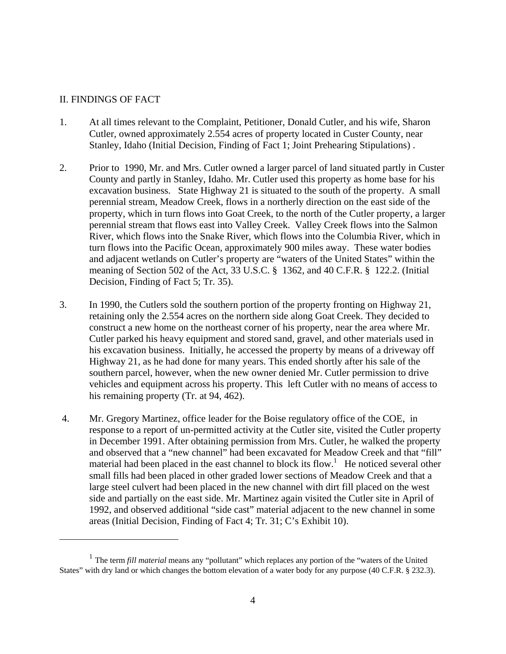# II. FINDINGS OF FACT

- 1. At all times relevant to the Complaint, Petitioner, Donald Cutler, and his wife, Sharon Cutler, owned approximately 2.554 acres of property located in Custer County, near Stanley, Idaho (Initial Decision, Finding of Fact 1; Joint Prehearing Stipulations) .
- 2. Prior to 1990, Mr. and Mrs. Cutler owned a larger parcel of land situated partly in Custer County and partly in Stanley, Idaho. Mr. Cutler used this property as home base for his excavation business. State Highway 21 is situated to the south of the property. A small perennial stream, Meadow Creek, flows in a northerly direction on the east side of the property, which in turn flows into Goat Creek, to the north of the Cutler property, a larger perennial stream that flows east into Valley Creek. Valley Creek flows into the Salmon River, which flows into the Snake River, which flows into the Columbia River, which in turn flows into the Pacific Ocean, approximately 900 miles away. These water bodies and adjacent wetlands on Cutler's property are "waters of the United States" within the meaning of Section 502 of the Act, 33 U.S.C. § 1362, and 40 C.F.R. § 122.2. (Initial Decision, Finding of Fact 5; Tr. 35).
- 3. In 1990, the Cutlers sold the southern portion of the property fronting on Highway 21, retaining only the 2.554 acres on the northern side along Goat Creek. They decided to construct a new home on the northeast corner of his property, near the area where Mr. Cutler parked his heavy equipment and stored sand, gravel, and other materials used in his excavation business. Initially, he accessed the property by means of a driveway off Highway 21, as he had done for many years. This ended shortly after his sale of the southern parcel, however, when the new owner denied Mr. Cutler permission to drive vehicles and equipment across his property. This left Cutler with no means of access to his remaining property (Tr. at 94, 462).
- 4. Mr. Gregory Martinez, office leader for the Boise regulatory office of the COE, in response to a report of un-permitted activity at the Cutler site, visited the Cutler property in December 1991. After obtaining permission from Mrs. Cutler, he walked the property and observed that a "new channel" had been excavated for Meadow Creek and that "fill" material had been placed in the east channel to block its flow.<sup>[1](#page-3-0)</sup> He noticed several other small fills had been placed in other graded lower sections of Meadow Creek and that a large steel culvert had been placed in the new channel with dirt fill placed on the west side and partially on the east side. Mr. Martinez again visited the Cutler site in April of 1992, and observed additional "side cast" material adjacent to the new channel in some areas (Initial Decision, Finding of Fact 4; Tr. 31; C's Exhibit 10).

<span id="page-3-0"></span><sup>1</sup> The term *fill material* means any "pollutant" which replaces any portion of the "waters of the United States" with dry land or which changes the bottom elevation of a water body for any purpose (40 C.F.R. § 232.3).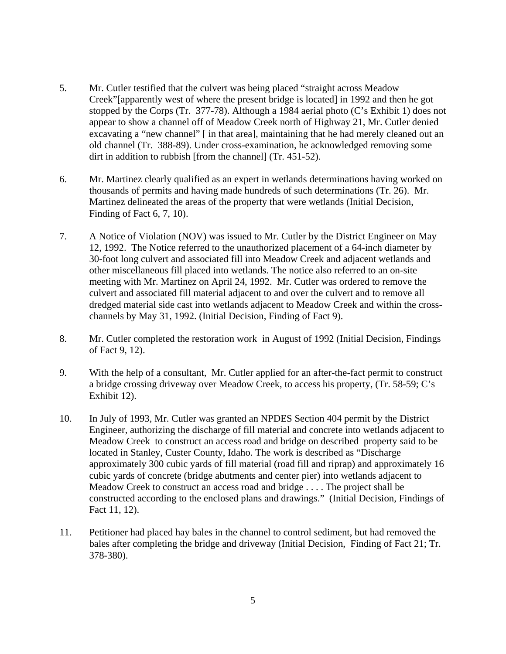- 5. Mr. Cutler testified that the culvert was being placed "straight across Meadow Creek"[apparently west of where the present bridge is located] in 1992 and then he got stopped by the Corps (Tr. 377-78). Although a 1984 aerial photo (C's Exhibit 1) does not appear to show a channel off of Meadow Creek north of Highway 21, Mr. Cutler denied excavating a "new channel" [ in that area], maintaining that he had merely cleaned out an old channel (Tr. 388-89). Under cross-examination, he acknowledged removing some dirt in addition to rubbish [from the channel] (Tr. 451-52).
- 6. Mr. Martinez clearly qualified as an expert in wetlands determinations having worked on thousands of permits and having made hundreds of such determinations (Tr. 26). Mr. Martinez delineated the areas of the property that were wetlands (Initial Decision, Finding of Fact 6, 7, 10).
- 7. A Notice of Violation (NOV) was issued to Mr. Cutler by the District Engineer on May 12, 1992. The Notice referred to the unauthorized placement of a 64-inch diameter by 30-foot long culvert and associated fill into Meadow Creek and adjacent wetlands and other miscellaneous fill placed into wetlands. The notice also referred to an on-site meeting with Mr. Martinez on April 24, 1992. Mr. Cutler was ordered to remove the culvert and associated fill material adjacent to and over the culvert and to remove all dredged material side cast into wetlands adjacent to Meadow Creek and within the crosschannels by May 31, 1992. (Initial Decision, Finding of Fact 9).
- 8. Mr. Cutler completed the restoration work in August of 1992 (Initial Decision, Findings of Fact 9, 12).
- 9. With the help of a consultant, Mr. Cutler applied for an after-the-fact permit to construct a bridge crossing driveway over Meadow Creek, to access his property, (Tr. 58-59; C's Exhibit 12).
- 10. In July of 1993, Mr. Cutler was granted an NPDES Section 404 permit by the District Engineer, authorizing the discharge of fill material and concrete into wetlands adjacent to Meadow Creek to construct an access road and bridge on described property said to be located in Stanley, Custer County, Idaho. The work is described as "Discharge approximately 300 cubic yards of fill material (road fill and riprap) and approximately 16 cubic yards of concrete (bridge abutments and center pier) into wetlands adjacent to Meadow Creek to construct an access road and bridge . . . . The project shall be constructed according to the enclosed plans and drawings." (Initial Decision, Findings of Fact 11, 12).
- 11. Petitioner had placed hay bales in the channel to control sediment, but had removed the bales after completing the bridge and driveway (Initial Decision, Finding of Fact 21; Tr. 378-380).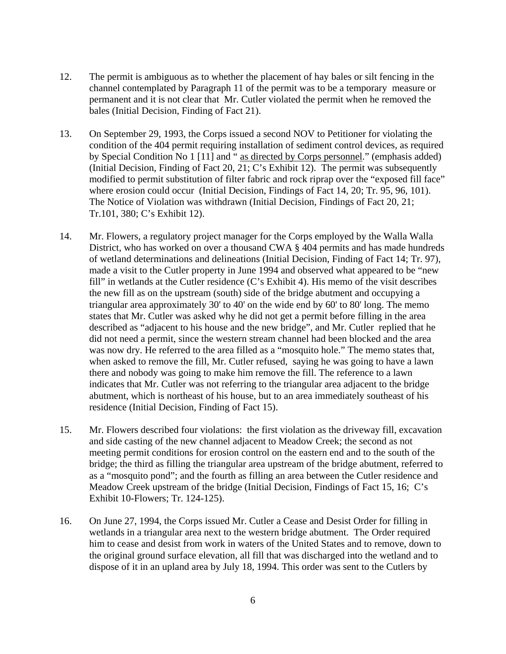- 12. The permit is ambiguous as to whether the placement of hay bales or silt fencing in the channel contemplated by Paragraph 11 of the permit was to be a temporary measure or permanent and it is not clear that Mr. Cutler violated the permit when he removed the bales (Initial Decision, Finding of Fact 21).
- 13. On September 29, 1993, the Corps issued a second NOV to Petitioner for violating the condition of the 404 permit requiring installation of sediment control devices, as required by Special Condition No 1 [11] and " as directed by Corps personnel." (emphasis added) (Initial Decision, Finding of Fact 20, 21; C's Exhibit 12). The permit was subsequently modified to permit substitution of filter fabric and rock riprap over the "exposed fill face" where erosion could occur (Initial Decision, Findings of Fact 14, 20; Tr. 95, 96, 101). The Notice of Violation was withdrawn (Initial Decision, Findings of Fact 20, 21; Tr.101, 380; C's Exhibit 12).
- 14. Mr. Flowers, a regulatory project manager for the Corps employed by the Walla Walla District, who has worked on over a thousand CWA § 404 permits and has made hundreds of wetland determinations and delineations (Initial Decision, Finding of Fact 14; Tr. 97), made a visit to the Cutler property in June 1994 and observed what appeared to be "new fill" in wetlands at the Cutler residence (C's Exhibit 4). His memo of the visit describes the new fill as on the upstream (south) side of the bridge abutment and occupying a triangular area approximately 30' to 40' on the wide end by 60' to 80' long. The memo states that Mr. Cutler was asked why he did not get a permit before filling in the area described as "adjacent to his house and the new bridge", and Mr. Cutler replied that he did not need a permit, since the western stream channel had been blocked and the area was now dry. He referred to the area filled as a "mosquito hole." The memo states that, when asked to remove the fill, Mr. Cutler refused, saying he was going to have a lawn there and nobody was going to make him remove the fill. The reference to a lawn indicates that Mr. Cutler was not referring to the triangular area adjacent to the bridge abutment, which is northeast of his house, but to an area immediately southeast of his residence (Initial Decision, Finding of Fact 15).
- 15. Mr. Flowers described four violations: the first violation as the driveway fill, excavation and side casting of the new channel adjacent to Meadow Creek; the second as not meeting permit conditions for erosion control on the eastern end and to the south of the bridge; the third as filling the triangular area upstream of the bridge abutment, referred to as a "mosquito pond"; and the fourth as filling an area between the Cutler residence and Meadow Creek upstream of the bridge (Initial Decision, Findings of Fact 15, 16; C's Exhibit 10-Flowers; Tr. 124-125).
- 16. On June 27, 1994, the Corps issued Mr. Cutler a Cease and Desist Order for filling in wetlands in a triangular area next to the western bridge abutment. The Order required him to cease and desist from work in waters of the United States and to remove, down to the original ground surface elevation, all fill that was discharged into the wetland and to dispose of it in an upland area by July 18, 1994. This order was sent to the Cutlers by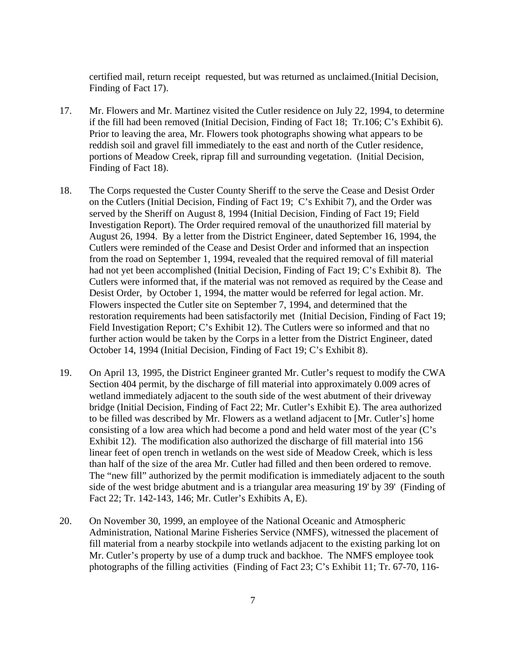certified mail, return receipt requested, but was returned as unclaimed.(Initial Decision, Finding of Fact 17).

- 17. Mr. Flowers and Mr. Martinez visited the Cutler residence on July 22, 1994, to determine if the fill had been removed (Initial Decision, Finding of Fact 18; Tr.106; C's Exhibit 6). Prior to leaving the area, Mr. Flowers took photographs showing what appears to be reddish soil and gravel fill immediately to the east and north of the Cutler residence, portions of Meadow Creek, riprap fill and surrounding vegetation. (Initial Decision, Finding of Fact 18).
- 18. The Corps requested the Custer County Sheriff to the serve the Cease and Desist Order on the Cutlers (Initial Decision, Finding of Fact 19; C's Exhibit 7), and the Order was served by the Sheriff on August 8, 1994 (Initial Decision, Finding of Fact 19; Field Investigation Report). The Order required removal of the unauthorized fill material by August 26, 1994. By a letter from the District Engineer, dated September 16, 1994, the Cutlers were reminded of the Cease and Desist Order and informed that an inspection from the road on September 1, 1994, revealed that the required removal of fill material had not yet been accomplished (Initial Decision, Finding of Fact 19; C's Exhibit 8). The Cutlers were informed that, if the material was not removed as required by the Cease and Desist Order, by October 1, 1994, the matter would be referred for legal action. Mr. Flowers inspected the Cutler site on September 7, 1994, and determined that the restoration requirements had been satisfactorily met (Initial Decision, Finding of Fact 19; Field Investigation Report; C's Exhibit 12). The Cutlers were so informed and that no further action would be taken by the Corps in a letter from the District Engineer, dated October 14, 1994 (Initial Decision, Finding of Fact 19; C's Exhibit 8).
- 19. On April 13, 1995, the District Engineer granted Mr. Cutler's request to modify the CWA Section 404 permit, by the discharge of fill material into approximately 0.009 acres of wetland immediately adjacent to the south side of the west abutment of their driveway bridge (Initial Decision, Finding of Fact 22; Mr. Cutler's Exhibit E). The area authorized to be filled was described by Mr. Flowers as a wetland adjacent to [Mr. Cutler's] home consisting of a low area which had become a pond and held water most of the year (C's Exhibit 12). The modification also authorized the discharge of fill material into 156 linear feet of open trench in wetlands on the west side of Meadow Creek, which is less than half of the size of the area Mr. Cutler had filled and then been ordered to remove. The "new fill" authorized by the permit modification is immediately adjacent to the south side of the west bridge abutment and is a triangular area measuring 19' by 39' (Finding of Fact 22; Tr. 142-143, 146; Mr. Cutler's Exhibits A, E).
- 20. On November 30, 1999, an employee of the National Oceanic and Atmospheric Administration, National Marine Fisheries Service (NMFS), witnessed the placement of fill material from a nearby stockpile into wetlands adjacent to the existing parking lot on Mr. Cutler's property by use of a dump truck and backhoe. The NMFS employee took photographs of the filling activities (Finding of Fact 23; C's Exhibit 11; Tr. 67-70, 116-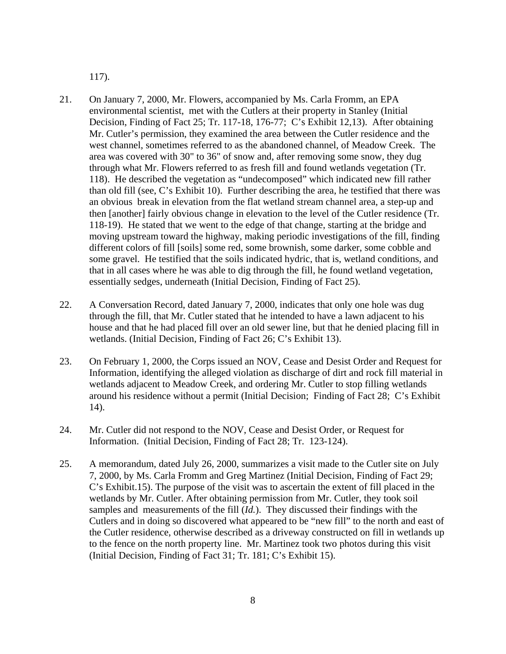117).

- 21. On January 7, 2000, Mr. Flowers, accompanied by Ms. Carla Fromm, an EPA environmental scientist, met with the Cutlers at their property in Stanley (Initial Decision, Finding of Fact 25; Tr. 117-18, 176-77; C's Exhibit 12,13). After obtaining Mr. Cutler's permission, they examined the area between the Cutler residence and the west channel, sometimes referred to as the abandoned channel, of Meadow Creek. The area was covered with 30" to 36" of snow and, after removing some snow, they dug through what Mr. Flowers referred to as fresh fill and found wetlands vegetation (Tr. 118). He described the vegetation as "undecomposed" which indicated new fill rather than old fill (see, C's Exhibit 10). Further describing the area, he testified that there was an obvious break in elevation from the flat wetland stream channel area, a step-up and then [another] fairly obvious change in elevation to the level of the Cutler residence (Tr. 118-19). He stated that we went to the edge of that change, starting at the bridge and moving upstream toward the highway, making periodic investigations of the fill, finding different colors of fill [soils] some red, some brownish, some darker, some cobble and some gravel. He testified that the soils indicated hydric, that is, wetland conditions, and that in all cases where he was able to dig through the fill, he found wetland vegetation, essentially sedges, underneath (Initial Decision, Finding of Fact 25).
- 22. A Conversation Record, dated January 7, 2000, indicates that only one hole was dug through the fill, that Mr. Cutler stated that he intended to have a lawn adjacent to his house and that he had placed fill over an old sewer line, but that he denied placing fill in wetlands. (Initial Decision, Finding of Fact 26; C's Exhibit 13).
- 23. On February 1, 2000, the Corps issued an NOV, Cease and Desist Order and Request for Information, identifying the alleged violation as discharge of dirt and rock fill material in wetlands adjacent to Meadow Creek, and ordering Mr. Cutler to stop filling wetlands around his residence without a permit (Initial Decision; Finding of Fact 28; C's Exhibit 14).
- 24. Mr. Cutler did not respond to the NOV, Cease and Desist Order, or Request for Information. (Initial Decision, Finding of Fact 28; Tr. 123-124).
- 25. A memorandum, dated July 26, 2000, summarizes a visit made to the Cutler site on July 7, 2000, by Ms. Carla Fromm and Greg Martinez (Initial Decision, Finding of Fact 29; C's Exhibit.15). The purpose of the visit was to ascertain the extent of fill placed in the wetlands by Mr. Cutler. After obtaining permission from Mr. Cutler, they took soil samples and measurements of the fill (*Id.*). They discussed their findings with the Cutlers and in doing so discovered what appeared to be "new fill" to the north and east of the Cutler residence, otherwise described as a driveway constructed on fill in wetlands up to the fence on the north property line. Mr. Martinez took two photos during this visit (Initial Decision, Finding of Fact 31; Tr. 181; C's Exhibit 15).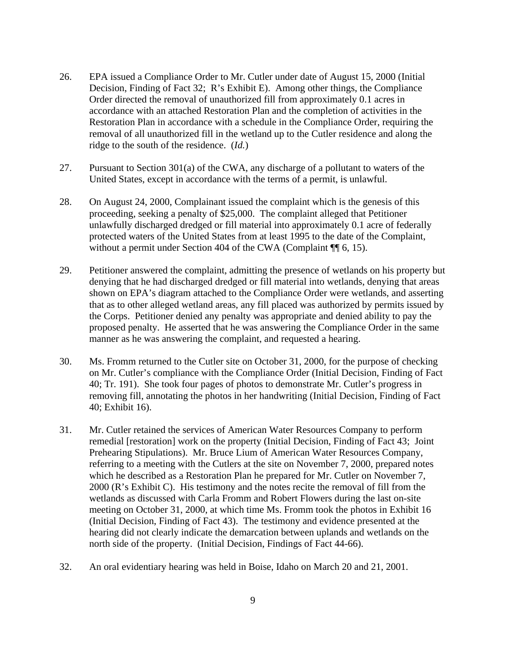- 26. EPA issued a Compliance Order to Mr. Cutler under date of August 15, 2000 (Initial Decision, Finding of Fact 32; R's Exhibit E). Among other things, the Compliance Order directed the removal of unauthorized fill from approximately 0.1 acres in accordance with an attached Restoration Plan and the completion of activities in the Restoration Plan in accordance with a schedule in the Compliance Order, requiring the removal of all unauthorized fill in the wetland up to the Cutler residence and along the ridge to the south of the residence. (*Id.*)
- 27. Pursuant to Section 301(a) of the CWA, any discharge of a pollutant to waters of the United States, except in accordance with the terms of a permit, is unlawful.
- 28. On August 24, 2000, Complainant issued the complaint which is the genesis of this proceeding, seeking a penalty of \$25,000. The complaint alleged that Petitioner unlawfully discharged dredged or fill material into approximately 0.1 acre of federally protected waters of the United States from at least 1995 to the date of the Complaint, without a permit under Section 404 of the CWA (Complaint ¶ 6, 15).
- 29. Petitioner answered the complaint, admitting the presence of wetlands on his property but denying that he had discharged dredged or fill material into wetlands, denying that areas shown on EPA's diagram attached to the Compliance Order were wetlands, and asserting that as to other alleged wetland areas, any fill placed was authorized by permits issued by the Corps. Petitioner denied any penalty was appropriate and denied ability to pay the proposed penalty. He asserted that he was answering the Compliance Order in the same manner as he was answering the complaint, and requested a hearing.
- 30. Ms. Fromm returned to the Cutler site on October 31, 2000, for the purpose of checking on Mr. Cutler's compliance with the Compliance Order (Initial Decision, Finding of Fact 40; Tr. 191). She took four pages of photos to demonstrate Mr. Cutler's progress in removing fill, annotating the photos in her handwriting (Initial Decision, Finding of Fact 40; Exhibit 16).
- 31. Mr. Cutler retained the services of American Water Resources Company to perform remedial [restoration] work on the property (Initial Decision, Finding of Fact 43; Joint Prehearing Stipulations). Mr. Bruce Lium of American Water Resources Company, referring to a meeting with the Cutlers at the site on November 7, 2000, prepared notes which he described as a Restoration Plan he prepared for Mr. Cutler on November 7, 2000 (R's Exhibit C). His testimony and the notes recite the removal of fill from the wetlands as discussed with Carla Fromm and Robert Flowers during the last on-site meeting on October 31, 2000, at which time Ms. Fromm took the photos in Exhibit 16 (Initial Decision, Finding of Fact 43). The testimony and evidence presented at the hearing did not clearly indicate the demarcation between uplands and wetlands on the north side of the property. (Initial Decision, Findings of Fact 44-66).
- 32. An oral evidentiary hearing was held in Boise, Idaho on March 20 and 21, 2001.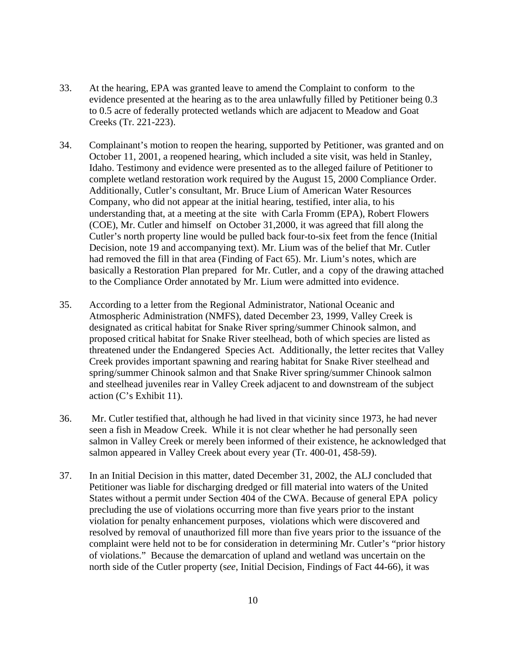- 33. At the hearing, EPA was granted leave to amend the Complaint to conform to the evidence presented at the hearing as to the area unlawfully filled by Petitioner being 0.3 to 0.5 acre of federally protected wetlands which are adjacent to Meadow and Goat Creeks (Tr. 221-223).
- 34. Complainant's motion to reopen the hearing, supported by Petitioner, was granted and on October 11, 2001, a reopened hearing, which included a site visit, was held in Stanley, Idaho. Testimony and evidence were presented as to the alleged failure of Petitioner to complete wetland restoration work required by the August 15, 2000 Compliance Order. Additionally, Cutler's consultant, Mr. Bruce Lium of American Water Resources Company, who did not appear at the initial hearing, testified, inter alia, to his understanding that, at a meeting at the site with Carla Fromm (EPA), Robert Flowers (COE), Mr. Cutler and himself on October 31,2000, it was agreed that fill along the Cutler's north property line would be pulled back four-to-six feet from the fence (Initial Decision, note 19 and accompanying text). Mr. Lium was of the belief that Mr. Cutler had removed the fill in that area (Finding of Fact 65). Mr. Lium's notes, which are basically a Restoration Plan prepared for Mr. Cutler, and a copy of the drawing attached to the Compliance Order annotated by Mr. Lium were admitted into evidence.
- 35. According to a letter from the Regional Administrator, National Oceanic and Atmospheric Administration (NMFS), dated December 23, 1999, Valley Creek is designated as critical habitat for Snake River spring/summer Chinook salmon, and proposed critical habitat for Snake River steelhead, both of which species are listed as threatened under the Endangered Species Act. Additionally, the letter recites that Valley Creek provides important spawning and rearing habitat for Snake River steelhead and spring/summer Chinook salmon and that Snake River spring/summer Chinook salmon and steelhead juveniles rear in Valley Creek adjacent to and downstream of the subject action (C's Exhibit 11).
- 36. Mr. Cutler testified that, although he had lived in that vicinity since 1973, he had never seen a fish in Meadow Creek. While it is not clear whether he had personally seen salmon in Valley Creek or merely been informed of their existence, he acknowledged that salmon appeared in Valley Creek about every year (Tr. 400-01, 458-59).
- 37. In an Initial Decision in this matter, dated December 31, 2002, the ALJ concluded that Petitioner was liable for discharging dredged or fill material into waters of the United States without a permit under Section 404 of the CWA. Because of general EPA policy precluding the use of violations occurring more than five years prior to the instant violation for penalty enhancement purposes, violations which were discovered and resolved by removal of unauthorized fill more than five years prior to the issuance of the complaint were held not to be for consideration in determining Mr. Cutler's "prior history of violations." Because the demarcation of upland and wetland was uncertain on the north side of the Cutler property (s*ee*, Initial Decision, Findings of Fact 44-66), it was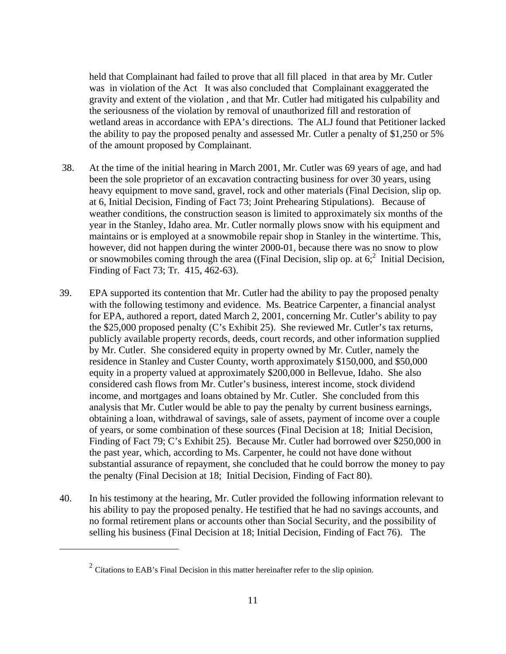held that Complainant had failed to prove that all fill placed in that area by Mr. Cutler was in violation of the Act It was also concluded that Complainant exaggerated the gravity and extent of the violation , and that Mr. Cutler had mitigated his culpability and the seriousness of the violation by removal of unauthorized fill and restoration of wetland areas in accordance with EPA's directions. The ALJ found that Petitioner lacked the ability to pay the proposed penalty and assessed Mr. Cutler a penalty of \$1,250 or 5% of the amount proposed by Complainant.

- 38. At the time of the initial hearing in March 2001, Mr. Cutler was 69 years of age, and had been the sole proprietor of an excavation contracting business for over 30 years, using heavy equipment to move sand, gravel, rock and other materials (Final Decision, slip op. at 6, Initial Decision, Finding of Fact 73; Joint Prehearing Stipulations). Because of weather conditions, the construction season is limited to approximately six months of the year in the Stanley, Idaho area. Mr. Cutler normally plows snow with his equipment and maintains or is employed at a snowmobile repair shop in Stanley in the wintertime. This, however, did not happen during the winter 2000-01, because there was no snow to plow or snowmobiles coming through the area ((Final Decision, slip op. at  $6<sup>2</sup>$  $6<sup>2</sup>$  $6<sup>2</sup>$  Initial Decision, Finding of Fact 73; Tr. 415, 462-63).
- 39. EPA supported its contention that Mr. Cutler had the ability to pay the proposed penalty with the following testimony and evidence. Ms. Beatrice Carpenter, a financial analyst for EPA, authored a report, dated March 2, 2001, concerning Mr. Cutler's ability to pay the \$25,000 proposed penalty (C's Exhibit 25). She reviewed Mr. Cutler's tax returns, publicly available property records, deeds, court records, and other information supplied by Mr. Cutler. She considered equity in property owned by Mr. Cutler, namely the residence in Stanley and Custer County, worth approximately \$150,000, and \$50,000 equity in a property valued at approximately \$200,000 in Bellevue, Idaho. She also considered cash flows from Mr. Cutler's business, interest income, stock dividend income, and mortgages and loans obtained by Mr. Cutler. She concluded from this analysis that Mr. Cutler would be able to pay the penalty by current business earnings, obtaining a loan, withdrawal of savings, sale of assets, payment of income over a couple of years, or some combination of these sources (Final Decision at 18; Initial Decision, Finding of Fact 79; C's Exhibit 25). Because Mr. Cutler had borrowed over \$250,000 in the past year, which, according to Ms. Carpenter, he could not have done without substantial assurance of repayment, she concluded that he could borrow the money to pay the penalty (Final Decision at 18; Initial Decision, Finding of Fact 80).
- 40. In his testimony at the hearing, Mr. Cutler provided the following information relevant to his ability to pay the proposed penalty. He testified that he had no savings accounts, and no formal retirement plans or accounts other than Social Security, and the possibility of selling his business (Final Decision at 18; Initial Decision, Finding of Fact 76). The

<span id="page-10-0"></span><sup>&</sup>lt;sup>2</sup> Citations to EAB's Final Decision in this matter hereinafter refer to the slip opinion.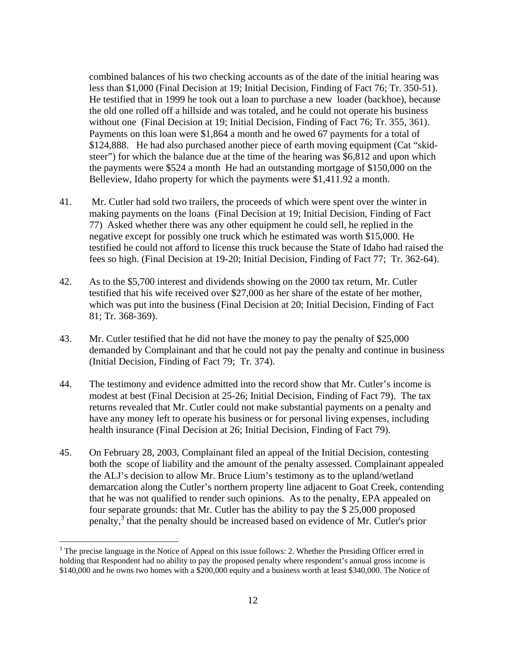<span id="page-11-0"></span>combined balances of his two checking accounts as of the date of the initial hearing was less than \$1,000 (Final Decision at 19; Initial Decision, Finding of Fact 76; Tr. 350-51). He testified that in 1999 he took out a loan to purchase a new loader (backhoe), because the old one rolled off a hillside and was totaled, and he could not operate his business without one (Final Decision at 19; Initial Decision, Finding of Fact 76; Tr. 355, 361). Payments on this loan were \$1,864 a month and he owed 67 payments for a total of \$124,888. He had also purchased another piece of earth moving equipment (Cat "skidsteer") for which the balance due at the time of the hearing was \$6,812 and upon which the payments were \$524 a month He had an outstanding mortgage of \$150,000 on the Belleview, Idaho property for which the payments were \$1,411.92 a month.

- 41. Mr. Cutler had sold two trailers, the proceeds of which were spent over the winter in making payments on the loans (Final Decision at 19; Initial Decision, Finding of Fact 77) Asked whether there was any other equipment he could sell, he replied in the negative except for possibly one truck which he estimated was worth \$15,000. He testified he could not afford to license this truck because the State of Idaho had raised the fees so high. (Final Decision at 19-20; Initial Decision, Finding of Fact 77; Tr. 362-64).
- 42. As to the \$5,700 interest and dividends showing on the 2000 tax return, Mr. Cutler testified that his wife received over \$27,000 as her share of the estate of her mother, which was put into the business (Final Decision at 20; Initial Decision, Finding of Fact 81; Tr. 368-369).
- 43. Mr. Cutler testified that he did not have the money to pay the penalty of \$25,000 demanded by Complainant and that he could not pay the penalty and continue in business (Initial Decision, Finding of Fact 79; Tr. 374).
- 44. The testimony and evidence admitted into the record show that Mr. Cutler's income is modest at best (Final Decision at 25-26; Initial Decision, Finding of Fact 79). The tax returns revealed that Mr. Cutler could not make substantial payments on a penalty and have any money left to operate his business or for personal living expenses, including health insurance (Final Decision at 26; Initial Decision, Finding of Fact 79).
- 45. On February 28, 2003, Complainant filed an appeal of the Initial Decision, contesting both the scope of liability and the amount of the penalty assessed. Complainant appealed the ALJ's decision to allow Mr. Bruce Lium's testimony as to the upland/wetland demarcation along the Cutler's northern property line adjacent to Goat Creek, contending that he was not qualified to render such opinions. As to the penalty, EPA appealed on four separate grounds: that Mr. Cutler has the ability to pay the \$ 25,000 proposed penalty,<sup>[3](#page-11-0)</sup> that the penalty should be increased based on evidence of Mr. Cutler's prior

 $3$  The precise language in the Notice of Appeal on this issue follows: 2. Whether the Presiding Officer erred in holding that Respondent had no ability to pay the proposed penalty where respondent's annual gross income is \$140,000 and he owns two homes with a \$200,000 equity and a business worth at least \$340,000. The Notice of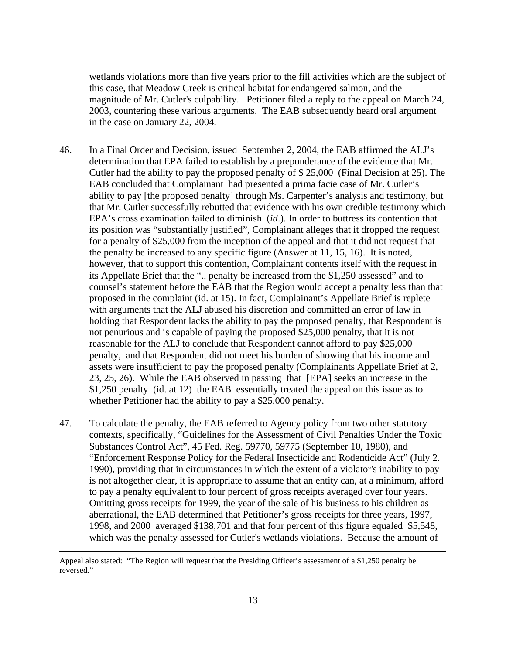wetlands violations more than five years prior to the fill activities which are the subject of this case, that Meadow Creek is critical habitat for endangered salmon, and the magnitude of Mr. Cutler's culpability. Petitioner filed a reply to the appeal on March 24, 2003, countering these various arguments. The EAB subsequently heard oral argument in the case on January 22, 2004.

- 46. In a Final Order and Decision, issued September 2, 2004, the EAB affirmed the ALJ's determination that EPA failed to establish by a preponderance of the evidence that Mr. Cutler had the ability to pay the proposed penalty of \$ 25,000 (Final Decision at 25). The EAB concluded that Complainant had presented a prima facie case of Mr. Cutler's ability to pay [the proposed penalty] through Ms. Carpenter's analysis and testimony, but that Mr. Cutler successfully rebutted that evidence with his own credible testimony which EPA's cross examination failed to diminish (*id*.). In order to buttress its contention that its position was "substantially justified", Complainant alleges that it dropped the request for a penalty of \$25,000 from the inception of the appeal and that it did not request that the penalty be increased to any specific figure (Answer at 11, 15, 16). It is noted, however, that to support this contention, Complainant contents itself with the request in its Appellate Brief that the ".. penalty be increased from the \$1,250 assessed" and to counsel's statement before the EAB that the Region would accept a penalty less than that proposed in the complaint (id. at 15). In fact, Complainant's Appellate Brief is replete with arguments that the ALJ abused his discretion and committed an error of law in holding that Respondent lacks the ability to pay the proposed penalty, that Respondent is not penurious and is capable of paying the proposed \$25,000 penalty, that it is not reasonable for the ALJ to conclude that Respondent cannot afford to pay \$25,000 penalty, and that Respondent did not meet his burden of showing that his income and assets were insufficient to pay the proposed penalty (Complainants Appellate Brief at 2, 23, 25, 26). While the EAB observed in passing that [EPA] seeks an increase in the \$1,250 penalty (id. at 12) the EAB essentially treated the appeal on this issue as to whether Petitioner had the ability to pay a \$25,000 penalty.
- 47. To calculate the penalty, the EAB referred to Agency policy from two other statutory contexts, specifically, "Guidelines for the Assessment of Civil Penalties Under the Toxic Substances Control Act", 45 Fed. Reg. 59770, 59775 (September 10, 1980), and "Enforcement Response Policy for the Federal Insecticide and Rodenticide Act" (July 2. 1990), providing that in circumstances in which the extent of a violator's inability to pay is not altogether clear, it is appropriate to assume that an entity can, at a minimum, afford to pay a penalty equivalent to four percent of gross receipts averaged over four years. Omitting gross receipts for 1999, the year of the sale of his business to his children as aberrational, the EAB determined that Petitioner's gross receipts for three years, 1997, 1998, and 2000 averaged \$138,701 and that four percent of this figure equaled \$5,548, which was the penalty assessed for Cutler's wetlands violations. Because the amount of

Appeal also stated: "The Region will request that the Presiding Officer's assessment of a \$1,250 penalty be reversed."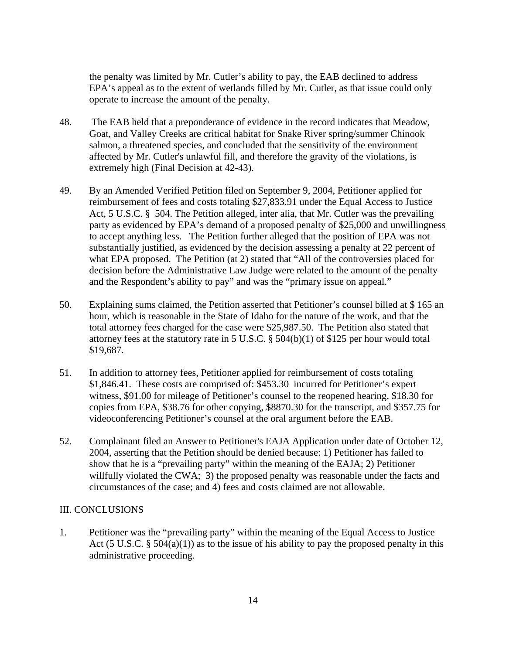the penalty was limited by Mr. Cutler's ability to pay, the EAB declined to address EPA's appeal as to the extent of wetlands filled by Mr. Cutler, as that issue could only operate to increase the amount of the penalty.

- 48. The EAB held that a preponderance of evidence in the record indicates that Meadow, Goat, and Valley Creeks are critical habitat for Snake River spring/summer Chinook salmon, a threatened species, and concluded that the sensitivity of the environment affected by Mr. Cutler's unlawful fill, and therefore the gravity of the violations, is extremely high (Final Decision at 42-43).
- 49. By an Amended Verified Petition filed on September 9, 2004, Petitioner applied for reimbursement of fees and costs totaling \$27,833.91 under the Equal Access to Justice Act, 5 U.S.C. § 504. The Petition alleged, inter alia, that Mr. Cutler was the prevailing party as evidenced by EPA's demand of a proposed penalty of \$25,000 and unwillingness to accept anything less. The Petition further alleged that the position of EPA was not substantially justified, as evidenced by the decision assessing a penalty at 22 percent of what EPA proposed. The Petition (at 2) stated that "All of the controversies placed for decision before the Administrative Law Judge were related to the amount of the penalty and the Respondent's ability to pay" and was the "primary issue on appeal."
- 50. Explaining sums claimed, the Petition asserted that Petitioner's counsel billed at \$ 165 an hour, which is reasonable in the State of Idaho for the nature of the work, and that the total attorney fees charged for the case were \$25,987.50. The Petition also stated that attorney fees at the statutory rate in 5 U.S.C. § 504(b)(1) of \$125 per hour would total \$19,687.
- 51. In addition to attorney fees, Petitioner applied for reimbursement of costs totaling \$1,846.41. These costs are comprised of: \$453.30 incurred for Petitioner's expert witness, \$91.00 for mileage of Petitioner's counsel to the reopened hearing, \$18.30 for copies from EPA, \$38.76 for other copying, \$8870.30 for the transcript, and \$357.75 for videoconferencing Petitioner's counsel at the oral argument before the EAB.
- 52. Complainant filed an Answer to Petitioner's EAJA Application under date of October 12, 2004, asserting that the Petition should be denied because: 1) Petitioner has failed to show that he is a "prevailing party" within the meaning of the EAJA; 2) Petitioner willfully violated the CWA; 3) the proposed penalty was reasonable under the facts and circumstances of the case; and 4) fees and costs claimed are not allowable.

# III. CONCLUSIONS

1. Petitioner was the "prevailing party" within the meaning of the Equal Access to Justice Act (5 U.S.C.  $\S$  504(a)(1)) as to the issue of his ability to pay the proposed penalty in this administrative proceeding.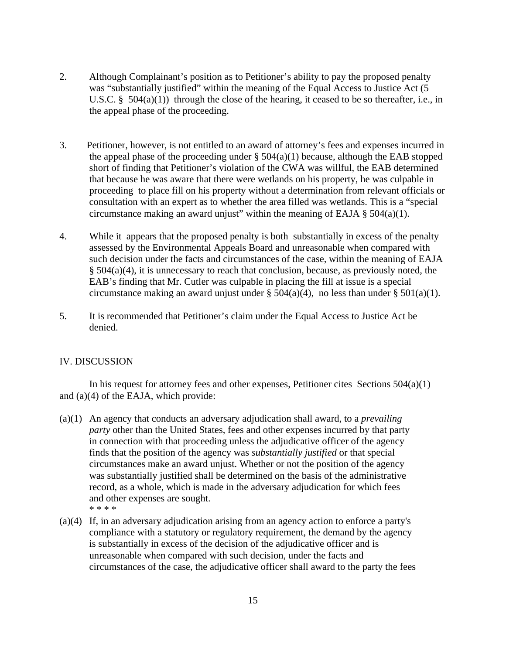- 2. Although Complainant's position as to Petitioner's ability to pay the proposed penalty was "substantially justified" within the meaning of the Equal Access to Justice Act (5 U.S.C. §  $504(a)(1)$  through the close of the hearing, it ceased to be so thereafter, i.e., in the appeal phase of the proceeding.
- 3. Petitioner, however, is not entitled to an award of attorney's fees and expenses incurred in the appeal phase of the proceeding under  $\S$  504(a)(1) because, although the EAB stopped short of finding that Petitioner's violation of the CWA was willful, the EAB determined that because he was aware that there were wetlands on his property, he was culpable in proceeding to place fill on his property without a determination from relevant officials or consultation with an expert as to whether the area filled was wetlands. This is a "special circumstance making an award unjust" within the meaning of EAJA  $\S$  504(a)(1).
- 4. While it appears that the proposed penalty is both substantially in excess of the penalty assessed by the Environmental Appeals Board and unreasonable when compared with such decision under the facts and circumstances of the case, within the meaning of EAJA § 504(a)(4), it is unnecessary to reach that conclusion, because, as previously noted, the EAB's finding that Mr. Cutler was culpable in placing the fill at issue is a special circumstance making an award unjust under  $\S 504(a)(4)$ , no less than under  $\S 501(a)(1)$ .
- 5. It is recommended that Petitioner's claim under the Equal Access to Justice Act be denied.

## IV. DISCUSSION

 In his request for attorney fees and other expenses, Petitioner cites Sections 504(a)(1) and (a)(4) of the EAJA, which provide:

- (a)(1) An agency that conducts an adversary adjudication shall award, to a *prevailing party* other than the United States, fees and other expenses incurred by that party in connection with that proceeding unless the adjudicative officer of the agency finds that the position of the agency was *substantially justified* or that special circumstances make an award unjust. Whether or not the position of the agency was substantially justified shall be determined on the basis of the administrative record, as a whole, which is made in the adversary adjudication for which fees and other expenses are sought. \* \* \* \*
- (a)(4) If, in an adversary adjudication arising from an agency action to enforce a party's compliance with a statutory or regulatory requirement, the demand by the agency is substantially in excess of the decision of the adjudicative officer and is unreasonable when compared with such decision, under the facts and circumstances of the case, the adjudicative officer shall award to the party the fees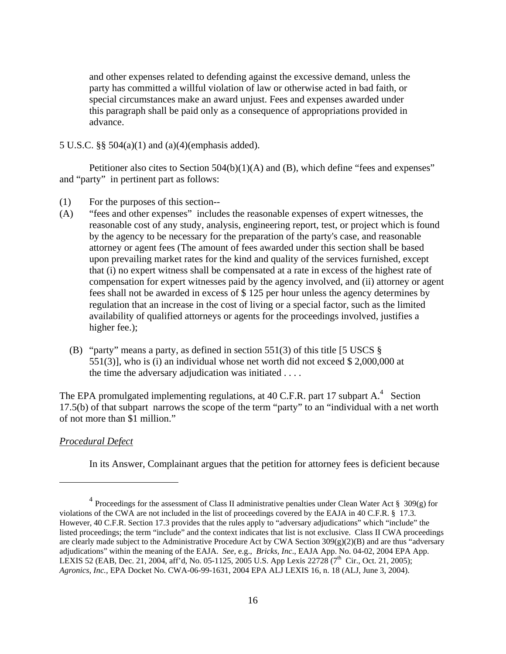and other expenses related to defending against the excessive demand, unless the party has committed a willful violation of law or otherwise acted in bad faith, or special circumstances make an award unjust. Fees and expenses awarded under this paragraph shall be paid only as a consequence of appropriations provided in advance.

## 5 U.S.C. §§ 504(a)(1) and (a)(4)(emphasis added).

Petitioner also cites to Section 504(b)(1)(A) and (B), which define "fees and expenses" and "party" in pertinent part as follows:

- (1) For the purposes of this section--
- (A) "fees and other expenses" includes the reasonable expenses of expert witnesses, the reasonable cost of any study, analysis, engineering report, test, or project which is found by the agency to be necessary for the preparation of the party's case, and reasonable attorney or agent fees (The amount of fees awarded under this section shall be based upon prevailing market rates for the kind and quality of the services furnished, except that (i) no expert witness shall be compensated at a rate in excess of the highest rate of compensation for expert witnesses paid by the agency involved, and (ii) attorney or agent fees shall not be awarded in excess of \$ 125 per hour unless the agency determines by regulation that an increase in the cost of living or a special factor, such as the limited availability of qualified attorneys or agents for the proceedings involved, justifies a higher fee.);
	- (B) "party" means a party, as defined in section 551(3) of this title [5 USCS § 551(3)], who is (i) an individual whose net worth did not exceed \$ 2,000,000 at the time the adversary adjudication was initiated . . . .

The EPA promulgated implementing regulations, at [4](#page-15-0)0 C.F.R. part 17 subpart  $A$ .<sup>4</sup> Section 17.5(b) of that subpart narrows the scope of the term "party" to an "individual with a net worth of not more than \$1 million."

### *Procedural Defect*

 $\overline{a}$ 

In its Answer, Complainant argues that the petition for attorney fees is deficient because

<span id="page-15-0"></span><sup>&</sup>lt;sup>4</sup> Proceedings for the assessment of Class II administrative penalties under Clean Water Act § 309(g) for violations of the CWA are not included in the list of proceedings covered by the EAJA in 40 C.F.R. § 17.3. However, 40 C.F.R. Section 17.3 provides that the rules apply to "adversary adjudications" which "include" the listed proceedings; the term "include" and the context indicates that list is not exclusive. Class II CWA proceedings are clearly made subject to the Administrative Procedure Act by CWA Section  $309(g)(2)(B)$  and are thus "adversary adjudications" within the meaning of the EAJA. *See*, e.g., *Bricks, Inc*., EAJA App. No. 04-02, 2004 EPA App. LEXIS 52 (EAB, Dec. 21, 2004, aff'd, No. 05-1125, 2005 U.S. App Lexis 22728 ( $7^{\text{th}}$  Cir., Oct. 21, 2005); *Agronics, Inc.,* EPA Docket No. CWA-06-99-1631, 2004 EPA ALJ LEXIS 16, n. 18 (ALJ, June 3, 2004).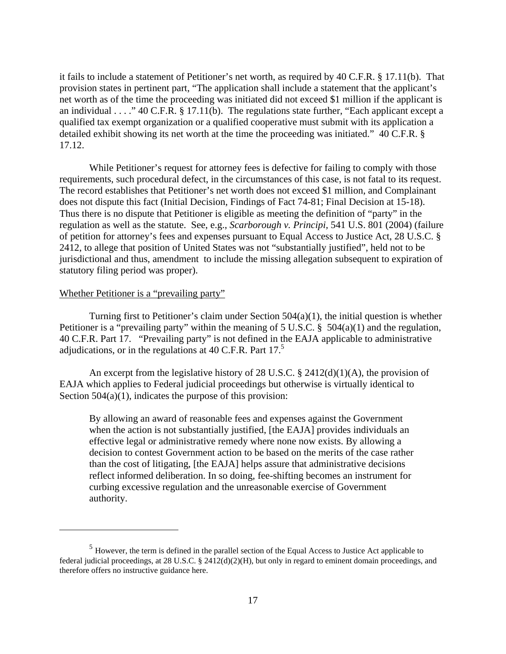it fails to include a statement of Petitioner's net worth, as required by 40 C.F.R. § 17.11(b). That provision states in pertinent part, "The application shall include a statement that the applicant's net worth as of the time the proceeding was initiated did not exceed \$1 million if the applicant is an individual . . . ." 40 C.F.R. § 17.11(b). The regulations state further, "Each applicant except a qualified tax exempt organization or a qualified cooperative must submit with its application a detailed exhibit showing its net worth at the time the proceeding was initiated." 40 C.F.R. § 17.12.

 While Petitioner's request for attorney fees is defective for failing to comply with those requirements, such procedural defect, in the circumstances of this case, is not fatal to its request. The record establishes that Petitioner's net worth does not exceed \$1 million, and Complainant does not dispute this fact (Initial Decision, Findings of Fact 74-81; Final Decision at 15-18). Thus there is no dispute that Petitioner is eligible as meeting the definition of "party" in the regulation as well as the statute. See, e.g., *Scarborough v. Principi,* 541 U.S. 801 (2004) (failure of petition for attorney's fees and expenses pursuant to Equal Access to Justice Act, 28 U.S.C. § 2412, to allege that position of United States was not "substantially justified", held not to be jurisdictional and thus, amendment to include the missing allegation subsequent to expiration of statutory filing period was proper).

#### Whether Petitioner is a "prevailing party"

1

Turning first to Petitioner's claim under Section  $504(a)(1)$ , the initial question is whether Petitioner is a "prevailing party" within the meaning of 5 U.S.C. § 504(a)(1) and the regulation, 40 C.F.R. Part 17. "Prevailing party" is not defined in the EAJA applicable to administrative adjudications, or in the regulations at 40 C.F.R. Part 17.<sup>5</sup>

An excerpt from the legislative history of 28 U.S.C. § 2412(d)(1)(A), the provision of EAJA which applies to Federal judicial proceedings but otherwise is virtually identical to Section  $504(a)(1)$ , indicates the purpose of this provision:

By allowing an award of reasonable fees and expenses against the Government when the action is not substantially justified, [the EAJA] provides individuals an effective legal or administrative remedy where none now exists. By allowing a decision to contest Government action to be based on the merits of the case rather than the cost of litigating, [the EAJA] helps assure that administrative decisions reflect informed deliberation. In so doing, fee-shifting becomes an instrument for curbing excessive regulation and the unreasonable exercise of Government authority.

<span id="page-16-0"></span><sup>5</sup> However, the term is defined in the parallel section of the Equal Access to Justice Act applicable to federal judicial proceedings, at 28 U.S.C. § 2412(d)(2)(H), but only in regard to eminent domain proceedings, and therefore offers no instructive guidance here.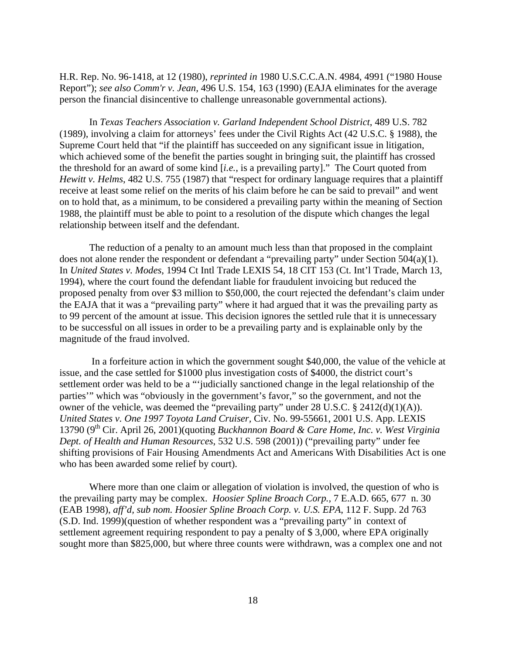H.R. Rep. No. 96-1418, at 12 (1980), *reprinted in* 1980 U.S.C.C.A.N. 4984, 4991 ("1980 House Report"); *see also Comm'r v. Jean,* 496 U.S. 154, 163 (1990) (EAJA eliminates for the average person the financial disincentive to challenge unreasonable governmental actions).

 In *Texas Teachers Association v. Garland Independent School District*, 489 U.S. 782 (1989), involving a claim for attorneys' fees under the Civil Rights Act (42 U.S.C. § 1988), the Supreme Court held that "if the plaintiff has succeeded on any significant issue in litigation, which achieved some of the benefit the parties sought in bringing suit, the plaintiff has crossed the threshold for an award of some kind [*i.e.*, is a prevailing party]." The Court quoted from *Hewitt v. Helms*, 482 U.S. 755 (1987) that "respect for ordinary language requires that a plaintiff receive at least some relief on the merits of his claim before he can be said to prevail" and went on to hold that, as a minimum, to be considered a prevailing party within the meaning of Section 1988, the plaintiff must be able to point to a resolution of the dispute which changes the legal relationship between itself and the defendant.

 The reduction of a penalty to an amount much less than that proposed in the complaint does not alone render the respondent or defendant a "prevailing party" under Section 504(a)(1). In *United States v. Modes*, 1994 Ct Intl Trade LEXIS 54, 18 CIT 153 (Ct. Int'l Trade, March 13, 1994), where the court found the defendant liable for fraudulent invoicing but reduced the proposed penalty from over \$3 million to \$50,000, the court rejected the defendant's claim under the EAJA that it was a "prevailing party" where it had argued that it was the prevailing party as to 99 percent of the amount at issue. This decision ignores the settled rule that it is unnecessary to be successful on all issues in order to be a prevailing party and is explainable only by the magnitude of the fraud involved.

 In a forfeiture action in which the government sought \$40,000, the value of the vehicle at issue, and the case settled for \$1000 plus investigation costs of \$4000, the district court's settlement order was held to be a "'judicially sanctioned change in the legal relationship of the parties'" which was "obviously in the government's favor," so the government, and not the owner of the vehicle, was deemed the "prevailing party" under 28 U.S.C. § 2412(d)(1)(A)). *United States v. One 1997 Toyota Land Cruiser,* Civ. No. 99-55661, 2001 U.S. App. LEXIS 13790 (9<sup>th</sup> Cir. April 26, 2001)(quoting *Buckhannon Board & Care Home, Inc. v. West Virginia Dept. of Health and Human Resources*, 532 U.S. 598 (2001)) ("prevailing party" under fee shifting provisions of Fair Housing Amendments Act and Americans With Disabilities Act is one who has been awarded some relief by court).

 Where more than one claim or allegation of violation is involved, the question of who is the prevailing party may be complex. *Hoosier Spline Broach Corp.,* 7 E.A.D. 665, 677 n. 30 (EAB 1998), *aff'd, sub nom. Hoosier Spline Broach Corp. v. U.S. EPA*, 112 F. Supp. 2d 763 (S.D. Ind. 1999)(question of whether respondent was a "prevailing party" in context of settlement agreement requiring respondent to pay a penalty of \$ 3,000, where EPA originally sought more than \$825,000, but where three counts were withdrawn, was a complex one and not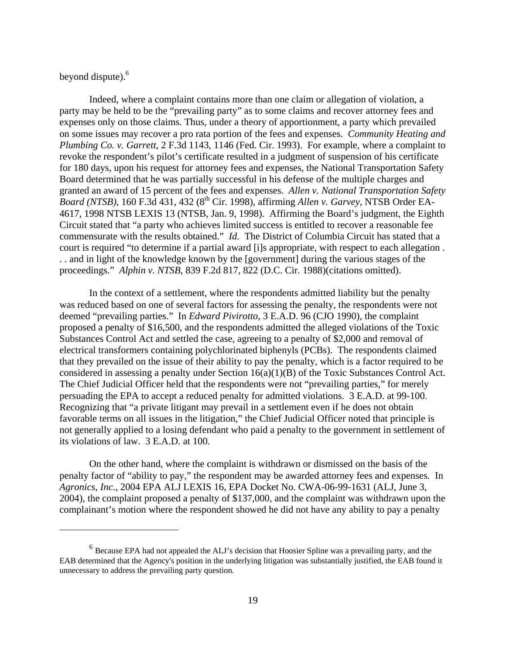# beyond dispute).<sup>6</sup>

 $\overline{a}$ 

 Indeed, where a complaint contains more than one claim or allegation of violation, a party may be held to be the "prevailing party" as to some claims and recover attorney fees and expenses only on those claims. Thus, under a theory of apportionment, a party which prevailed on some issues may recover a pro rata portion of the fees and expenses. *Community Heating and Plumbing Co. v. Garrett,* 2 F.3d 1143, 1146 (Fed. Cir. 1993). For example, where a complaint to revoke the respondent's pilot's certificate resulted in a judgment of suspension of his certificate for 180 days, upon his request for attorney fees and expenses, the National Transportation Safety Board determined that he was partially successful in his defense of the multiple charges and granted an award of 15 percent of the fees and expenses. *Allen v. National Transportation Safety Board (NTSB),* 160 F.3d 431, 432 (8th Cir. 1998), affirming *Allen v. Garvey,* NTSB Order EA-4617, 1998 NTSB LEXIS 13 (NTSB, Jan. 9, 1998). Affirming the Board's judgment, the Eighth Circuit stated that "a party who achieves limited success is entitled to recover a reasonable fee commensurate with the results obtained." *Id.* The District of Columbia Circuit has stated that a court is required "to determine if a partial award [i]s appropriate, with respect to each allegation . . . and in light of the knowledge known by the [government] during the various stages of the proceedings." *Alphin v. NTSB*, 839 F.2d 817, 822 (D.C. Cir. 1988)(citations omitted).

 In the context of a settlement, where the respondents admitted liability but the penalty was reduced based on one of several factors for assessing the penalty, the respondents were not deemed "prevailing parties." In *Edward Pivirotto*, 3 E.A.D. 96 (CJO 1990), the complaint proposed a penalty of \$16,500, and the respondents admitted the alleged violations of the Toxic Substances Control Act and settled the case, agreeing to a penalty of \$2,000 and removal of electrical transformers containing polychlorinated biphenyls (PCBs). The respondents claimed that they prevailed on the issue of their ability to pay the penalty, which is a factor required to be considered in assessing a penalty under Section 16(a)(1)(B) of the Toxic Substances Control Act. The Chief Judicial Officer held that the respondents were not "prevailing parties," for merely persuading the EPA to accept a reduced penalty for admitted violations. 3 E.A.D. at 99-100. Recognizing that "a private litigant may prevail in a settlement even if he does not obtain favorable terms on all issues in the litigation," the Chief Judicial Officer noted that principle is not generally applied to a losing defendant who paid a penalty to the government in settlement of its violations of law. 3 E.A.D. at 100.

 On the other hand, where the complaint is withdrawn or dismissed on the basis of the penalty factor of "ability to pay," the respondent may be awarded attorney fees and expenses. In *Agronics, Inc.,* 2004 EPA ALJ LEXIS 16, EPA Docket No. CWA-06-99-1631 (ALJ, June 3, 2004), the complaint proposed a penalty of \$137,000, and the complaint was withdrawn upon the complainant's motion where the respondent showed he did not have any ability to pay a penalty

<span id="page-18-0"></span> $<sup>6</sup>$  Because EPA had not appealed the ALJ's decision that Hoosier Spline was a prevailing party, and the</sup> EAB determined that the Agency's position in the underlying litigation was substantially justified, the EAB found it unnecessary to address the prevailing party question.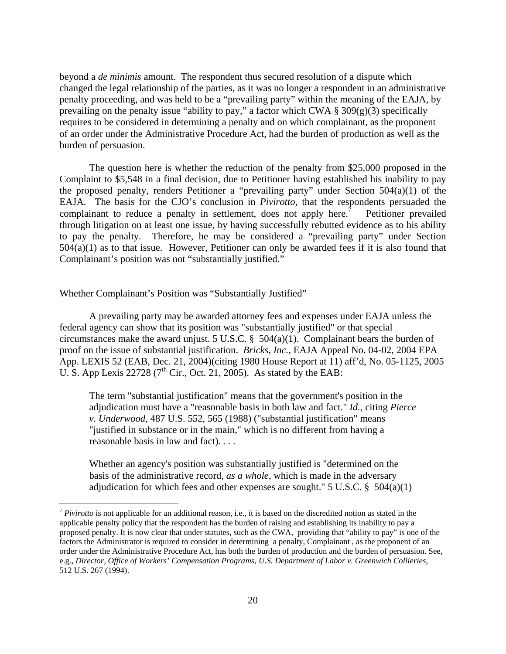beyond a *de minimis* amount. The respondent thus secured resolution of a dispute which changed the legal relationship of the parties, as it was no longer a respondent in an administrative penalty proceeding, and was held to be a "prevailing party" within the meaning of the EAJA, by prevailing on the penalty issue "ability to pay," a factor which CWA  $\S 309(g)(3)$  specifically requires to be considered in determining a penalty and on which complainant, as the proponent of an order under the Administrative Procedure Act, had the burden of production as well as the burden of persuasion.

 The question here is whether the reduction of the penalty from \$25,000 proposed in the Complaint to \$5,548 in a final decision, due to Petitioner having established his inability to pay the proposed penalty, renders Petitioner a "prevailing party" under Section 504(a)(1) of the EAJA. The basis for the CJO's conclusion in *Pivirotto,* that the respondents persuaded the complainant to reduce a penalty in settlement, does not apply here.<sup>7</sup> Petitioner prevailed through litigation on at least one issue, by having successfully rebutted evidence as to his ability to pay the penalty. Therefore, he may be considered a "prevailing party" under Section 504(a)(1) as to that issue. However, Petitioner can only be awarded fees if it is also found that Complainant's position was not "substantially justified."

#### Whether Complainant's Position was "Substantially Justified"

1

 A prevailing party may be awarded attorney fees and expenses under EAJA unless the federal agency can show that its position was "substantially justified" or that special circumstances make the award unjust. 5 U.S.C. § 504(a)(1). Complainant bears the burden of proof on the issue of substantial justification. *Bricks, Inc.,* EAJA Appeal No. 04-02, 2004 EPA App. LEXIS 52 (EAB, Dec. 21, 2004)(citing 1980 House Report at 11) aff'd, No. 05-1125, 2005 U. S. App Lexis 22728 ( $7<sup>th</sup>$  Cir., Oct. 21, 2005). As stated by the EAB:

The term "substantial justification" means that the government's position in the adjudication must have a "reasonable basis in both law and fact." *Id.,* citing *Pierce v. Underwood,* 487 U.S. 552, 565 (1988) ("substantial justification" means "justified in substance or in the main," which is no different from having a reasonable basis in law and fact). *. . .* 

Whether an agency's position was substantially justified is "determined on the basis of the administrative record, *as a whole,* which is made in the adversary adjudication for which fees and other expenses are sought."  $5 \text{ U.S.C. }$   $8 \text{ } 504(a)(1)$ 

<span id="page-19-0"></span><sup>7</sup> *Pivirotto* is not applicable for an additional reason, i.e., it is based on the discredited notion as stated in the applicable penalty policy that the respondent has the burden of raising and establishing its inability to pay a proposed penalty. It is now clear that under statutes, such as the CWA, providing that "ability to pay" is one of the factors the Administrator is required to consider in determining a penalty, Complainant , as the proponent of an order under the Administrative Procedure Act, has both the burden of production and the burden of persuasion. See, e.g., *Director, Office of Workers' Compensation Programs, U.S. Department of Labor v. Greenwich Collieries,*  512 U.S. 267 (1994).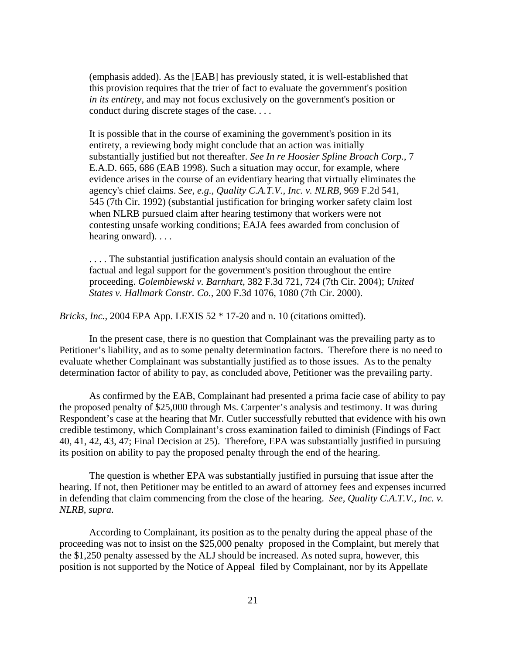(emphasis added). As the [EAB] has previously stated, it is well-established that this provision requires that the trier of fact to evaluate the government's position *in its entirety,* and may not focus exclusively on the government's position or conduct during discrete stages of the case. . . .

It is possible that in the course of examining the government's position in its entirety, a reviewing body might conclude that an action was initially substantially justified but not thereafter. *See In re Hoosier Spline Broach Corp.,* 7 E.A.D. 665, 686 (EAB 1998). Such a situation may occur, for example, where evidence arises in the course of an evidentiary hearing that virtually eliminates the agency's chief claims. *See, e.g., Quality C.A.T.V., Inc. v. NLRB,* 969 F.2d 541, 545 (7th Cir. 1992) (substantial justification for bringing worker safety claim lost when NLRB pursued claim after hearing testimony that workers were not contesting unsafe working conditions; EAJA fees awarded from conclusion of hearing onward). . . .

. . . . The substantial justification analysis should contain an evaluation of the factual and legal support for the government's position throughout the entire proceeding. *Golembiewski v. Barnhart,* 382 F.3d 721, 724 (7th Cir. 2004); *United States v. Hallmark Constr. Co.,* 200 F.3d 1076, 1080 (7th Cir. 2000).

*Bricks, Inc.,* 2004 EPA App. LEXIS 52 \* 17-20 and n. 10 (citations omitted).

 In the present case, there is no question that Complainant was the prevailing party as to Petitioner's liability, and as to some penalty determination factors. Therefore there is no need to evaluate whether Complainant was substantially justified as to those issues. As to the penalty determination factor of ability to pay, as concluded above, Petitioner was the prevailing party.

 As confirmed by the EAB, Complainant had presented a prima facie case of ability to pay the proposed penalty of \$25,000 through Ms. Carpenter's analysis and testimony. It was during Respondent's case at the hearing that Mr. Cutler successfully rebutted that evidence with his own credible testimony, which Complainant's cross examination failed to diminish (Findings of Fact 40, 41, 42, 43, 47; Final Decision at 25). Therefore, EPA was substantially justified in pursuing its position on ability to pay the proposed penalty through the end of the hearing.

 The question is whether EPA was substantially justified in pursuing that issue after the hearing. If not, then Petitioner may be entitled to an award of attorney fees and expenses incurred in defending that claim commencing from the close of the hearing. *See, Quality C.A.T.V., Inc. v. NLRB, supra*.

 According to Complainant, its position as to the penalty during the appeal phase of the proceeding was not to insist on the \$25,000 penalty proposed in the Complaint, but merely that the \$1,250 penalty assessed by the ALJ should be increased. As noted supra, however, this position is not supported by the Notice of Appeal filed by Complainant, nor by its Appellate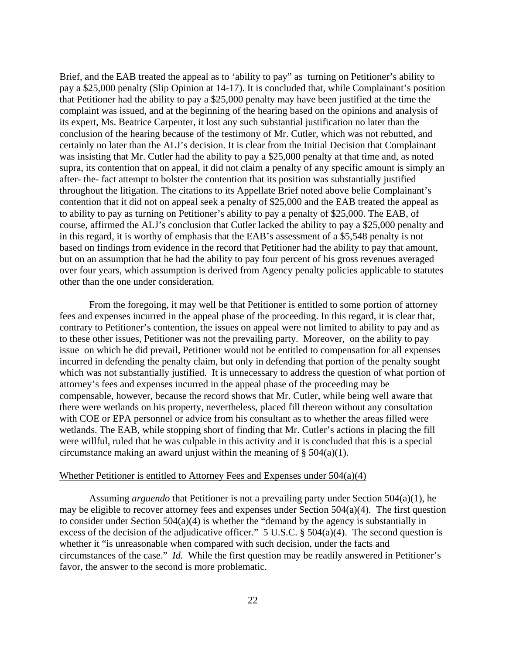Brief, and the EAB treated the appeal as to 'ability to pay" as turning on Petitioner's ability to pay a \$25,000 penalty (Slip Opinion at 14-17). It is concluded that, while Complainant's position that Petitioner had the ability to pay a \$25,000 penalty may have been justified at the time the complaint was issued, and at the beginning of the hearing based on the opinions and analysis of its expert, Ms. Beatrice Carpenter, it lost any such substantial justification no later than the conclusion of the hearing because of the testimony of Mr. Cutler, which was not rebutted, and certainly no later than the ALJ's decision. It is clear from the Initial Decision that Complainant was insisting that Mr. Cutler had the ability to pay a \$25,000 penalty at that time and, as noted supra, its contention that on appeal, it did not claim a penalty of any specific amount is simply an after- the- fact attempt to bolster the contention that its position was substantially justified throughout the litigation. The citations to its Appellate Brief noted above belie Complainant's contention that it did not on appeal seek a penalty of \$25,000 and the EAB treated the appeal as to ability to pay as turning on Petitioner's ability to pay a penalty of \$25,000. The EAB, of course, affirmed the ALJ's conclusion that Cutler lacked the ability to pay a \$25,000 penalty and in this regard, it is worthy of emphasis that the EAB's assessment of a \$5,548 penalty is not based on findings from evidence in the record that Petitioner had the ability to pay that amount, but on an assumption that he had the ability to pay four percent of his gross revenues averaged over four years, which assumption is derived from Agency penalty policies applicable to statutes other than the one under consideration.

 From the foregoing, it may well be that Petitioner is entitled to some portion of attorney fees and expenses incurred in the appeal phase of the proceeding. In this regard, it is clear that, contrary to Petitioner's contention, the issues on appeal were not limited to ability to pay and as to these other issues, Petitioner was not the prevailing party. Moreover, on the ability to pay issue on which he did prevail, Petitioner would not be entitled to compensation for all expenses incurred in defending the penalty claim, but only in defending that portion of the penalty sought which was not substantially justified. It is unnecessary to address the question of what portion of attorney's fees and expenses incurred in the appeal phase of the proceeding may be compensable, however, because the record shows that Mr. Cutler, while being well aware that there were wetlands on his property, nevertheless, placed fill thereon without any consultation with COE or EPA personnel or advice from his consultant as to whether the areas filled were wetlands. The EAB, while stopping short of finding that Mr. Cutler's actions in placing the fill were willful, ruled that he was culpable in this activity and it is concluded that this is a special circumstance making an award unjust within the meaning of § 504(a)(1).

#### Whether Petitioner is entitled to Attorney Fees and Expenses under 504(a)(4)

 Assuming *arguendo* that Petitioner is not a prevailing party under Section 504(a)(1), he may be eligible to recover attorney fees and expenses under Section 504(a)(4). The first question to consider under Section 504(a)(4) is whether the "demand by the agency is substantially in excess of the decision of the adjudicative officer." 5 U.S.C. § 504(a)(4). The second question is whether it "is unreasonable when compared with such decision, under the facts and circumstances of the case." *Id.* While the first question may be readily answered in Petitioner's favor, the answer to the second is more problematic.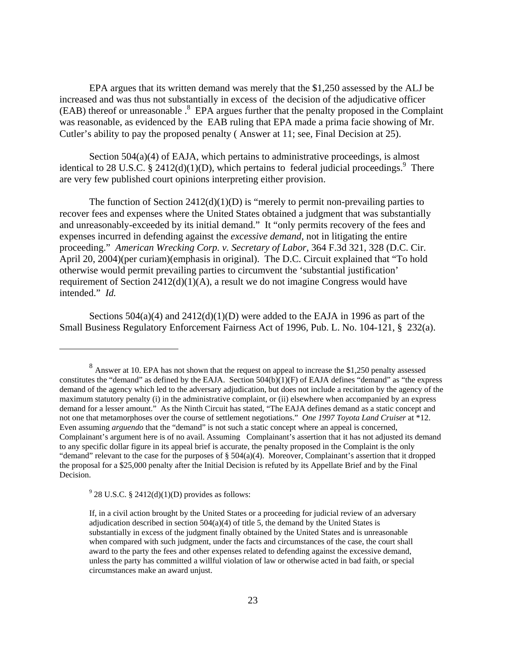EPA argues that its written demand was merely that the \$1,250 assessed by the ALJ be increased and was thus not substantially in excess of the decision of the adjudicative officer (EAB) thereof or unreasonable .<sup>[8](#page-22-0)</sup> EPA argues further that the penalty proposed in the Complaint was reasonable, as evidenced by the EAB ruling that EPA made a prima facie showing of Mr. Cutler's ability to pay the proposed penalty ( Answer at 11; see, Final Decision at 25).

Section 504(a)(4) of EAJA, which pertains to administrative proceedings, is almost identical to 28 U.S.C. § 2412(d)(1)(D), which pertains to federal judicial proceedings.<sup>[9](#page-22-1)</sup> There are very few published court opinions interpreting either provision.

The function of Section  $2412(d)(1)(D)$  is "merely to permit non-prevailing parties to recover fees and expenses where the United States obtained a judgment that was substantially and unreasonably-exceeded by its initial demand." It "only permits recovery of the fees and expenses incurred in defending against the *excessive demand*, not in litigating the entire proceeding." *American Wrecking Corp. v. Secretary of Labor*, 364 F.3d 321, 328 (D.C. Cir. April 20, 2004)(per curiam)(emphasis in original). The D.C. Circuit explained that "To hold otherwise would permit prevailing parties to circumvent the 'substantial justification' requirement of Section 2412(d)(1)(A), a result we do not imagine Congress would have intended." *Id.*

Sections  $504(a)(4)$  and  $2412(d)(1)(D)$  were added to the EAJA in 1996 as part of the Small Business Regulatory Enforcement Fairness Act of 1996, Pub. L. No. 104-121, § 232(a).

<span id="page-22-0"></span><sup>&</sup>lt;sup>8</sup> Answer at 10. EPA has not shown that the request on appeal to increase the \$1,250 penalty assessed constitutes the "demand" as defined by the EAJA. Section 504(b)(1)(F) of EAJA defines "demand" as "the express demand of the agency which led to the adversary adjudication, but does not include a recitation by the agency of the maximum statutory penalty (i) in the administrative complaint, or (ii) elsewhere when accompanied by an express demand for a lesser amount." As the Ninth Circuit has stated, "The EAJA defines demand as a static concept and not one that metamorphoses over the course of settlement negotiations." *One 1997 Toyota Land Cruiser* at \*12. Even assuming *arguendo* that the "demand" is not such a static concept where an appeal is concerned, Complainant's argument here is of no avail. Assuming Complainant's assertion that it has not adjusted its demand to any specific dollar figure in its appeal brief is accurate, the penalty proposed in the Complaint is the only "demand" relevant to the case for the purposes of  $\S$  504(a)(4). Moreover, Complainant's assertion that it dropped the proposal for a \$25,000 penalty after the Initial Decision is refuted by its Appellate Brief and by the Final Decision.

<span id="page-22-1"></span> $9^9$  28 U.S.C. § 2412(d)(1)(D) provides as follows:

If, in a civil action brought by the United States or a proceeding for judicial review of an adversary adjudication described in section  $504(a)(4)$  of title 5, the demand by the United States is substantially in excess of the judgment finally obtained by the United States and is unreasonable when compared with such judgment, under the facts and circumstances of the case, the court shall award to the party the fees and other expenses related to defending against the excessive demand, unless the party has committed a willful violation of law or otherwise acted in bad faith, or special circumstances make an award unjust.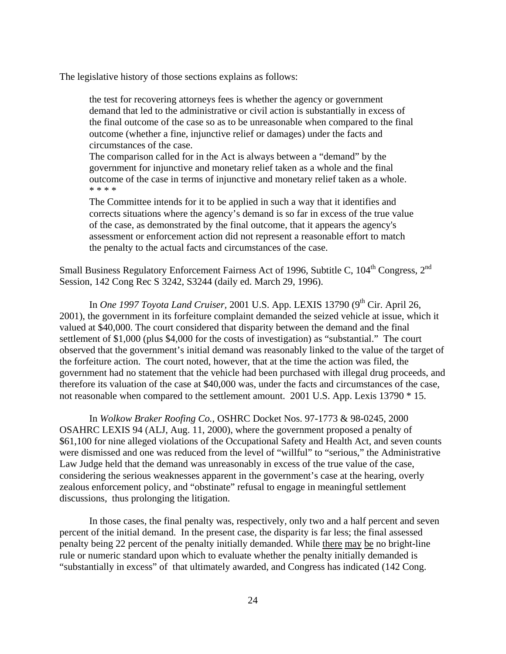The legislative history of those sections explains as follows:

the test for recovering attorneys fees is whether the agency or government demand that led to the administrative or civil action is substantially in excess of the final outcome of the case so as to be unreasonable when compared to the final outcome (whether a fine, injunctive relief or damages) under the facts and circumstances of the case.

The comparison called for in the Act is always between a "demand" by the government for injunctive and monetary relief taken as a whole and the final outcome of the case in terms of injunctive and monetary relief taken as a whole. \* \* \* \*

The Committee intends for it to be applied in such a way that it identifies and corrects situations where the agency's demand is so far in excess of the true value of the case, as demonstrated by the final outcome, that it appears the agency's assessment or enforcement action did not represent a reasonable effort to match the penalty to the actual facts and circumstances of the case.

Small Business Regulatory Enforcement Fairness Act of 1996, Subtitle C, 104<sup>th</sup> Congress, 2<sup>nd</sup> Session, 142 Cong Rec S 3242, S3244 (daily ed. March 29, 1996).

In *One 1997 Toyota Land Cruiser*, 2001 U.S. App. LEXIS 13790 (9<sup>th</sup> Cir. April 26, 2001), the government in its forfeiture complaint demanded the seized vehicle at issue, which it valued at \$40,000. The court considered that disparity between the demand and the final settlement of \$1,000 (plus \$4,000 for the costs of investigation) as "substantial." The court observed that the government's initial demand was reasonably linked to the value of the target of the forfeiture action. The court noted, however, that at the time the action was filed, the government had no statement that the vehicle had been purchased with illegal drug proceeds, and therefore its valuation of the case at \$40,000 was, under the facts and circumstances of the case, not reasonable when compared to the settlement amount. 2001 U.S. App. Lexis 13790 \* 15.

 In *Wolkow Braker Roofing Co.*, OSHRC Docket Nos. 97-1773 & 98-0245, 2000 OSAHRC LEXIS 94 (ALJ, Aug. 11, 2000), where the government proposed a penalty of \$61,100 for nine alleged violations of the Occupational Safety and Health Act, and seven counts were dismissed and one was reduced from the level of "willful" to "serious," the Administrative Law Judge held that the demand was unreasonably in excess of the true value of the case, considering the serious weaknesses apparent in the government's case at the hearing, overly zealous enforcement policy, and "obstinate" refusal to engage in meaningful settlement discussions, thus prolonging the litigation.

 In those cases, the final penalty was, respectively, only two and a half percent and seven percent of the initial demand. In the present case, the disparity is far less; the final assessed penalty being 22 percent of the penalty initially demanded. While there may be no bright-line rule or numeric standard upon which to evaluate whether the penalty initially demanded is "substantially in excess" of that ultimately awarded, and Congress has indicated (142 Cong.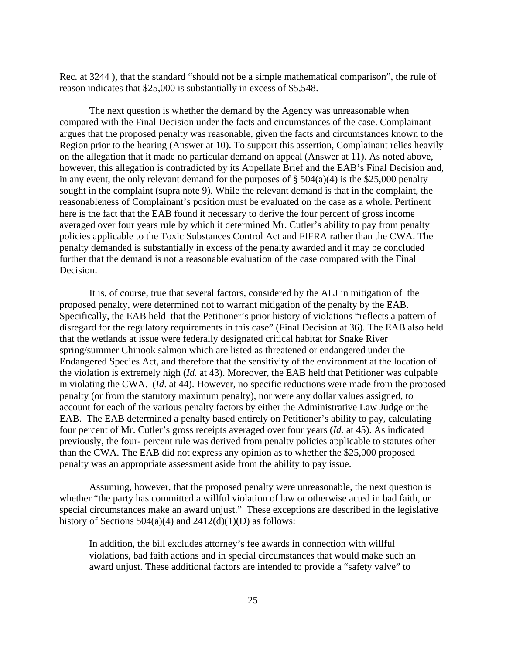Rec. at 3244 ), that the standard "should not be a simple mathematical comparison", the rule of reason indicates that \$25,000 is substantially in excess of \$5,548.

The next question is whether the demand by the Agency was unreasonable when compared with the Final Decision under the facts and circumstances of the case. Complainant argues that the proposed penalty was reasonable, given the facts and circumstances known to the Region prior to the hearing (Answer at 10). To support this assertion, Complainant relies heavily on the allegation that it made no particular demand on appeal (Answer at 11). As noted above, however, this allegation is contradicted by its Appellate Brief and the EAB's Final Decision and, in any event, the only relevant demand for the purposes of  $\S 504(a)(4)$  is the \$25,000 penalty sought in the complaint (supra note 9). While the relevant demand is that in the complaint, the reasonableness of Complainant's position must be evaluated on the case as a whole. Pertinent here is the fact that the EAB found it necessary to derive the four percent of gross income averaged over four years rule by which it determined Mr. Cutler's ability to pay from penalty policies applicable to the Toxic Substances Control Act and FIFRA rather than the CWA. The penalty demanded is substantially in excess of the penalty awarded and it may be concluded further that the demand is not a reasonable evaluation of the case compared with the Final Decision.

It is, of course, true that several factors, considered by the ALJ in mitigation of the proposed penalty, were determined not to warrant mitigation of the penalty by the EAB. Specifically, the EAB held that the Petitioner's prior history of violations "reflects a pattern of disregard for the regulatory requirements in this case" (Final Decision at 36). The EAB also held that the wetlands at issue were federally designated critical habitat for Snake River spring/summer Chinook salmon which are listed as threatened or endangered under the Endangered Species Act, and therefore that the sensitivity of the environment at the location of the violation is extremely high (*Id.* at 43). Moreover, the EAB held that Petitioner was culpable in violating the CWA. (*Id*. at 44). However, no specific reductions were made from the proposed penalty (or from the statutory maximum penalty), nor were any dollar values assigned, to account for each of the various penalty factors by either the Administrative Law Judge or the EAB. The EAB determined a penalty based entirely on Petitioner's ability to pay, calculating four percent of Mr. Cutler's gross receipts averaged over four years (*Id.* at 45). As indicated previously, the four- percent rule was derived from penalty policies applicable to statutes other than the CWA. The EAB did not express any opinion as to whether the \$25,000 proposed penalty was an appropriate assessment aside from the ability to pay issue.

 Assuming, however, that the proposed penalty were unreasonable, the next question is whether "the party has committed a willful violation of law or otherwise acted in bad faith, or special circumstances make an award unjust." These exceptions are described in the legislative history of Sections  $504(a)(4)$  and  $2412(d)(1)(D)$  as follows:

In addition, the bill excludes attorney's fee awards in connection with willful violations, bad faith actions and in special circumstances that would make such an award unjust. These additional factors are intended to provide a "safety valve" to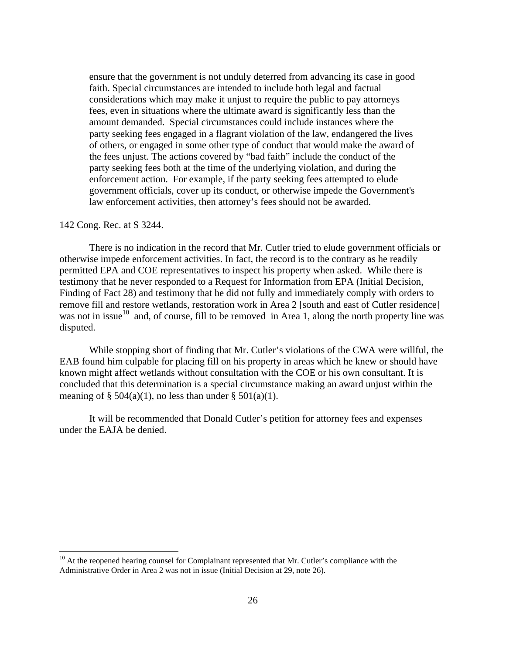ensure that the government is not unduly deterred from advancing its case in good faith. Special circumstances are intended to include both legal and factual considerations which may make it unjust to require the public to pay attorneys fees, even in situations where the ultimate award is significantly less than the amount demanded. Special circumstances could include instances where the party seeking fees engaged in a flagrant violation of the law, endangered the lives of others, or engaged in some other type of conduct that would make the award of the fees unjust. The actions covered by "bad faith" include the conduct of the party seeking fees both at the time of the underlying violation, and during the enforcement action. For example, if the party seeking fees attempted to elude government officials, cover up its conduct, or otherwise impede the Government's law enforcement activities, then attorney's fees should not be awarded.

#### 142 Cong. Rec. at S 3244.

 $\overline{a}$ 

 There is no indication in the record that Mr. Cutler tried to elude government officials or otherwise impede enforcement activities. In fact, the record is to the contrary as he readily permitted EPA and COE representatives to inspect his property when asked. While there is testimony that he never responded to a Request for Information from EPA (Initial Decision, Finding of Fact 28) and testimony that he did not fully and immediately comply with orders to remove fill and restore wetlands, restoration work in Area 2 [south and east of Cutler residence] was not in issue<sup>10</sup> and, of course, fill to be removed in Area 1, along the north property line was disputed.

 While stopping short of finding that Mr. Cutler's violations of the CWA were willful, the EAB found him culpable for placing fill on his property in areas which he knew or should have known might affect wetlands without consultation with the COE or his own consultant. It is concluded that this determination is a special circumstance making an award unjust within the meaning of  $\S$  504(a)(1), no less than under  $\S$  501(a)(1).

 It will be recommended that Donald Cutler's petition for attorney fees and expenses under the EAJA be denied.

<span id="page-25-0"></span> $10<sup>10</sup>$  At the reopened hearing counsel for Complainant represented that Mr. Cutler's compliance with the Administrative Order in Area 2 was not in issue (Initial Decision at 29, note 26).